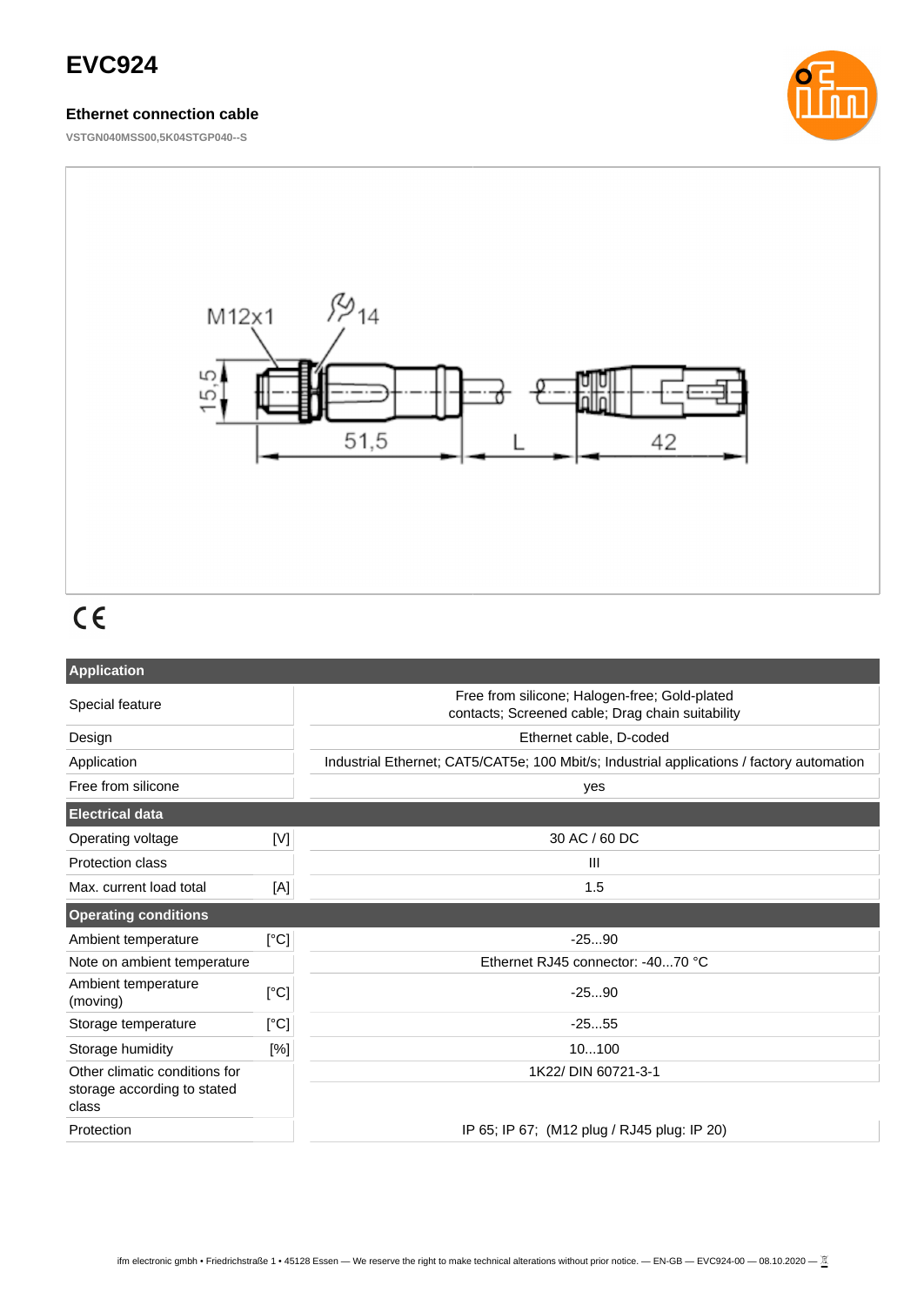# **EVC924**

### **Ethernet connection cable**

**VSTGN040MSS00,5K04STGP040--S**





# $C \in$

| <b>Application</b>                   |             |                                                                                                   |  |
|--------------------------------------|-------------|---------------------------------------------------------------------------------------------------|--|
| Special feature                      |             | Free from silicone; Halogen-free; Gold-plated<br>contacts; Screened cable; Drag chain suitability |  |
| Design                               |             | Ethernet cable, D-coded                                                                           |  |
| Application                          |             | Industrial Ethernet; CAT5/CAT5e; 100 Mbit/s; Industrial applications / factory automation         |  |
| Free from silicone                   |             | yes                                                                                               |  |
| <b>Electrical data</b>               |             |                                                                                                   |  |
| Operating voltage                    | $[{\sf V}]$ | 30 AC / 60 DC                                                                                     |  |
| <b>Protection class</b>              |             | Ш                                                                                                 |  |
| Max. current load total              | [A]         | 1.5                                                                                               |  |
| <b>Operating conditions</b>          |             |                                                                                                   |  |
| Ambient temperature                  | [°C]        | $-2590$                                                                                           |  |
| Note on ambient temperature          |             | Ethernet RJ45 connector: -4070 °C                                                                 |  |
| Ambient temperature<br>(moving)      | [°C]        | $-2590$                                                                                           |  |
| Storage temperature                  | [°C]        | $-2555$                                                                                           |  |
| Storage humidity                     | [%]         | 10100                                                                                             |  |
| Other climatic conditions for        |             | 1K22/ DIN 60721-3-1                                                                               |  |
| storage according to stated<br>class |             |                                                                                                   |  |
| Protection                           |             | IP 65; IP 67; (M12 plug / RJ45 plug: IP 20)                                                       |  |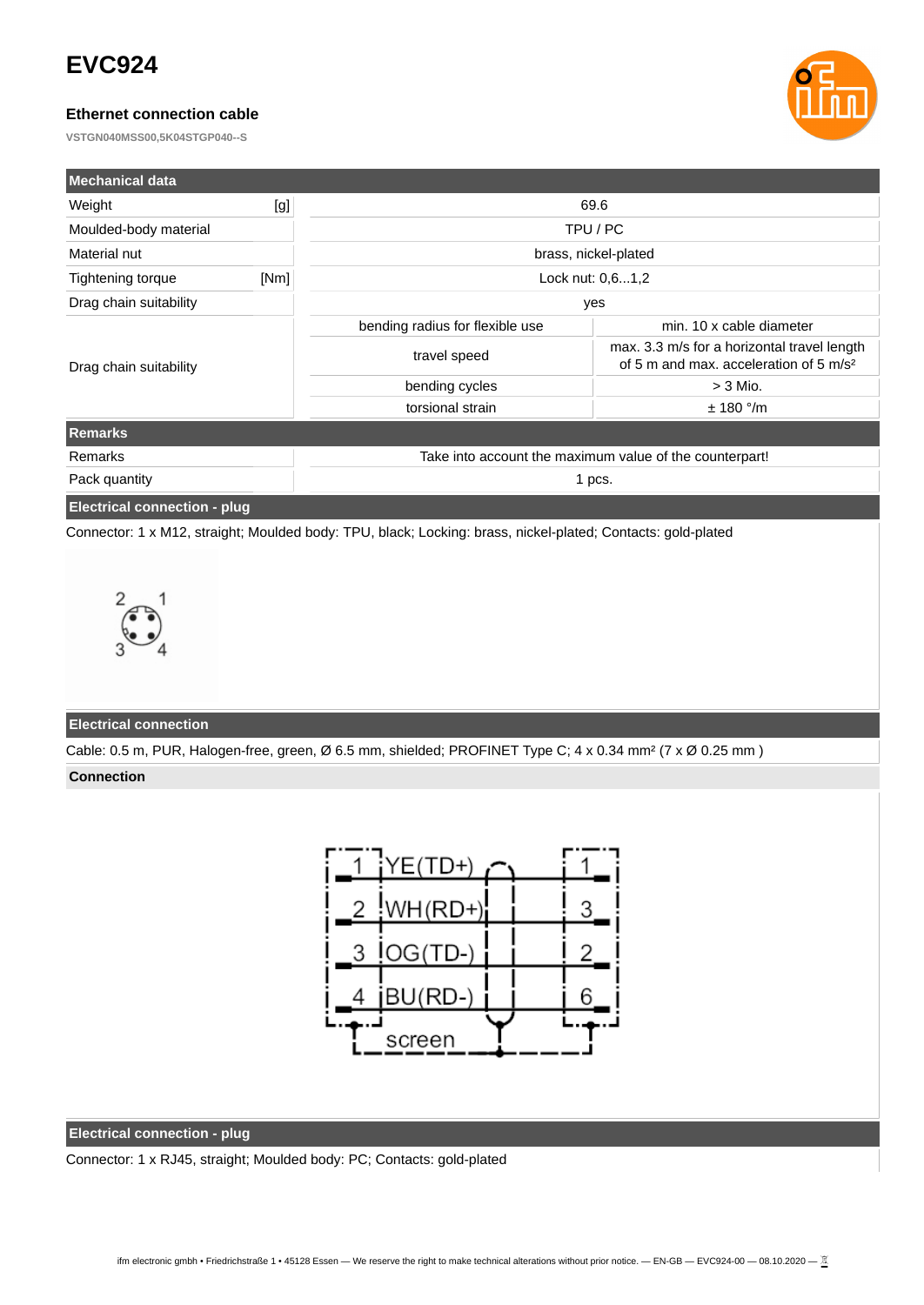# **EVC924**

### **Ethernet connection cable**

**VSTGN040MSS00,5K04STGP040--S**



| Mechanical data                     |      |                                                         |                                                                                                   |  |
|-------------------------------------|------|---------------------------------------------------------|---------------------------------------------------------------------------------------------------|--|
| Weight                              | [g]  | 69.6                                                    |                                                                                                   |  |
| Moulded-body material               |      | TPU / PC                                                |                                                                                                   |  |
| Material nut                        |      | brass, nickel-plated                                    |                                                                                                   |  |
| Tightening torque                   | [Nm] | Lock nut: 0,61,2                                        |                                                                                                   |  |
| Drag chain suitability              |      | yes                                                     |                                                                                                   |  |
|                                     |      | bending radius for flexible use                         | min. 10 x cable diameter                                                                          |  |
| Drag chain suitability              |      | travel speed                                            | max. 3.3 m/s for a horizontal travel length<br>of 5 m and max, acceleration of 5 m/s <sup>2</sup> |  |
|                                     |      | bending cycles                                          | $>$ 3 Mio.                                                                                        |  |
|                                     |      | torsional strain                                        | ± 180 °/m                                                                                         |  |
| <b>Remarks</b>                      |      |                                                         |                                                                                                   |  |
| Remarks                             |      | Take into account the maximum value of the counterpart! |                                                                                                   |  |
| Pack quantity                       |      | 1 pcs.                                                  |                                                                                                   |  |
| <b>Electrical connection - plug</b> |      |                                                         |                                                                                                   |  |

Connector: 1 x M12, straight; Moulded body: TPU, black; Locking: brass, nickel-plated; Contacts: gold-plated



#### **Electrical connection**

Cable: 0.5 m, PUR, Halogen-free, green, Ø 6.5 mm, shielded; PROFINET Type C; 4 x 0.34 mm² (7 x Ø 0.25 mm )

#### **Connection**



#### **Electrical connection - plug**

Connector: 1 x RJ45, straight; Moulded body: PC; Contacts: gold-plated